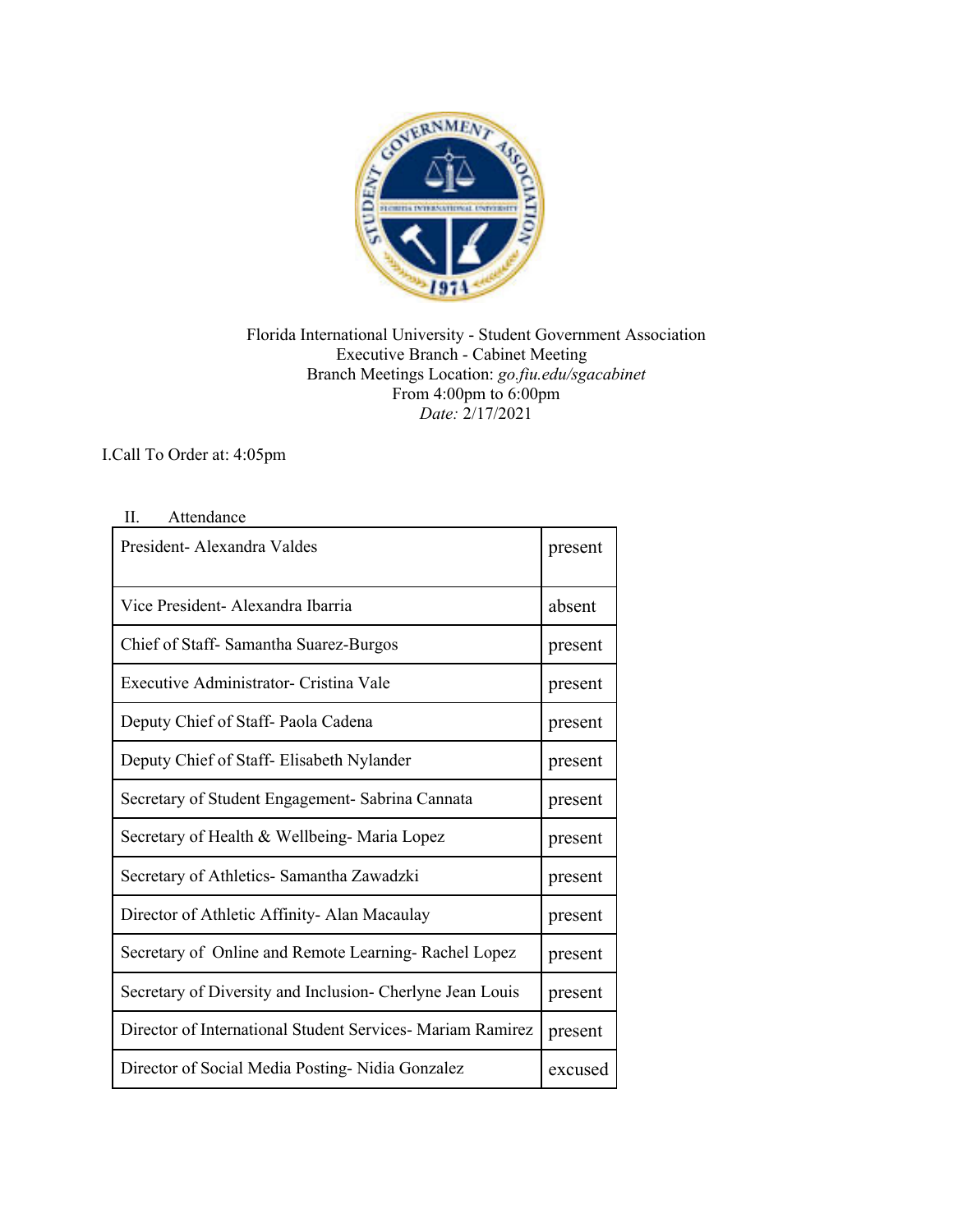

Florida International University - Student Government Association Executive Branch - Cabinet Meeting Branch Meetings Location: *go.fiu.edu/sgacabinet* From 4:00pm to 6:00pm *Date:* 2/17/2021

I.Call To Order at: 4:05pm

| President-Alexandra Valdes                                 | present |
|------------------------------------------------------------|---------|
| Vice President- Alexandra Ibarria                          | absent  |
| Chief of Staff- Samantha Suarez-Burgos                     | present |
| Executive Administrator- Cristina Vale                     | present |
| Deputy Chief of Staff- Paola Cadena                        | present |
| Deputy Chief of Staff- Elisabeth Nylander                  | present |
| Secretary of Student Engagement- Sabrina Cannata           | present |
| Secretary of Health & Wellbeing-Maria Lopez                | present |
| Secretary of Athletics- Samantha Zawadzki                  | present |
| Director of Athletic Affinity- Alan Macaulay               | present |
| Secretary of Online and Remote Learning-Rachel Lopez       | present |
| Secretary of Diversity and Inclusion- Cherlyne Jean Louis  | present |
| Director of International Student Services- Mariam Ramirez | present |
| Director of Social Media Posting-Nidia Gonzalez            | excused |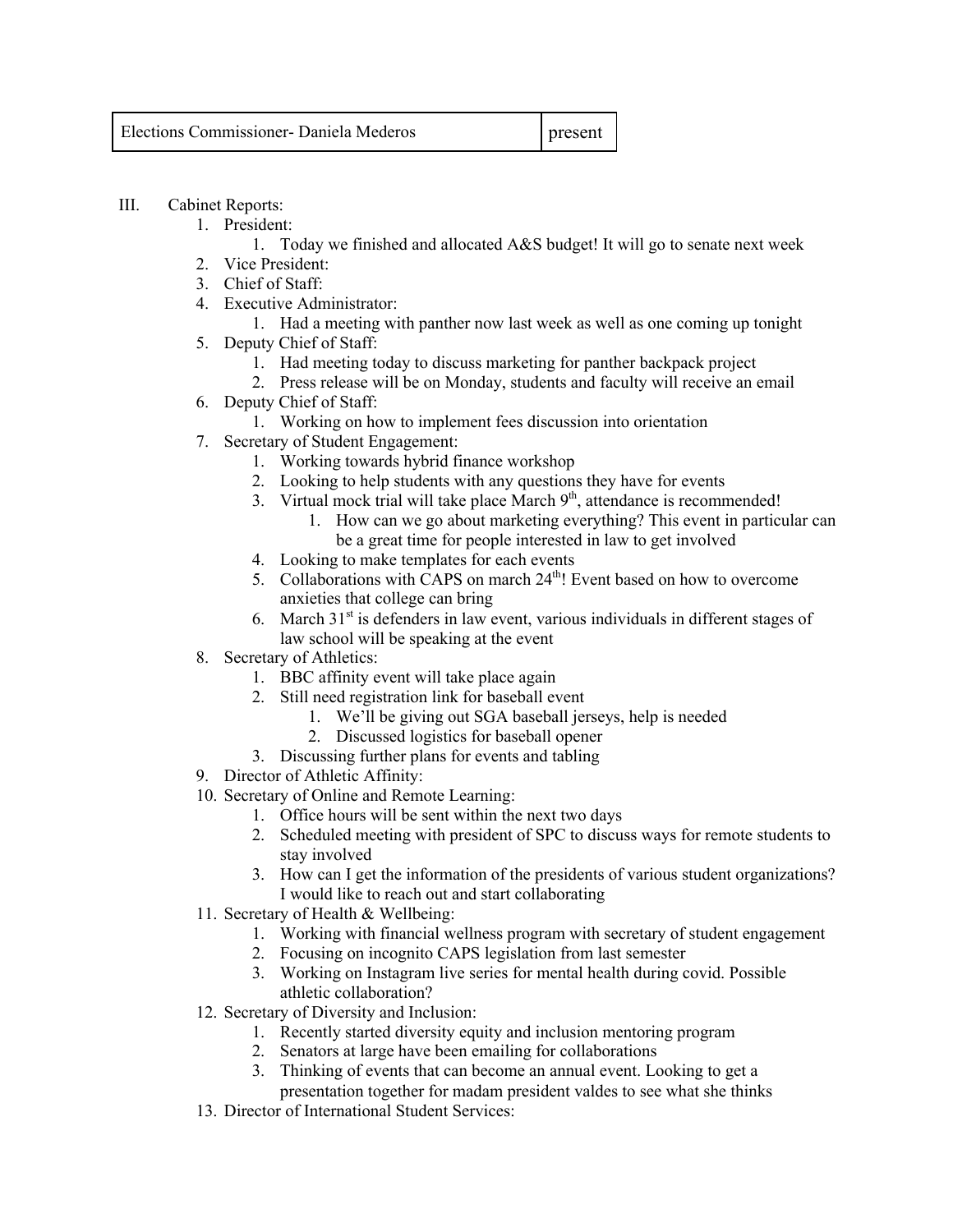| <b>Elections Commissioner- Daniela Mederos</b> | present |
|------------------------------------------------|---------|
|                                                |         |

- III. Cabinet Reports:
	- 1. President:
		- 1. Today we finished and allocated A&S budget! It will go to senate next week
	- 2. Vice President:
	- 3. Chief of Staff:
	- 4. Executive Administrator:
		- 1. Had a meeting with panther now last week as well as one coming up tonight
	- 5. Deputy Chief of Staff:
		- 1. Had meeting today to discuss marketing for panther backpack project
		- 2. Press release will be on Monday, students and faculty will receive an email
	- 6. Deputy Chief of Staff:
		- 1. Working on how to implement fees discussion into orientation
	- 7. Secretary of Student Engagement:
		- 1. Working towards hybrid finance workshop
		- 2. Looking to help students with any questions they have for events
		- 3. Virtual mock trial will take place March  $9<sup>th</sup>$ , attendance is recommended!
			- 1. How can we go about marketing everything? This event in particular can be a great time for people interested in law to get involved
		- 4. Looking to make templates for each events
		- 5. Collaborations with CAPS on march 24<sup>th</sup>! Event based on how to overcome anxieties that college can bring
		- 6. March  $31<sup>st</sup>$  is defenders in law event, various individuals in different stages of law school will be speaking at the event
	- 8. Secretary of Athletics:
		- 1. BBC affinity event will take place again
		- 2. Still need registration link for baseball event
			- 1. We'll be giving out SGA baseball jerseys, help is needed
			- 2. Discussed logistics for baseball opener
		- 3. Discussing further plans for events and tabling
	- 9. Director of Athletic Affinity:
	- 10. Secretary of Online and Remote Learning:
		- 1. Office hours will be sent within the next two days
		- 2. Scheduled meeting with president of SPC to discuss ways for remote students to stay involved
		- 3. How can I get the information of the presidents of various student organizations? I would like to reach out and start collaborating
	- 11. Secretary of Health & Wellbeing:
		- 1. Working with financial wellness program with secretary of student engagement
		- 2. Focusing on incognito CAPS legislation from last semester
		- 3. Working on Instagram live series for mental health during covid. Possible athletic collaboration?
	- 12. Secretary of Diversity and Inclusion:
		- 1. Recently started diversity equity and inclusion mentoring program
		- 2. Senators at large have been emailing for collaborations
		- 3. Thinking of events that can become an annual event. Looking to get a presentation together for madam president valdes to see what she thinks
	- 13. Director of International Student Services: